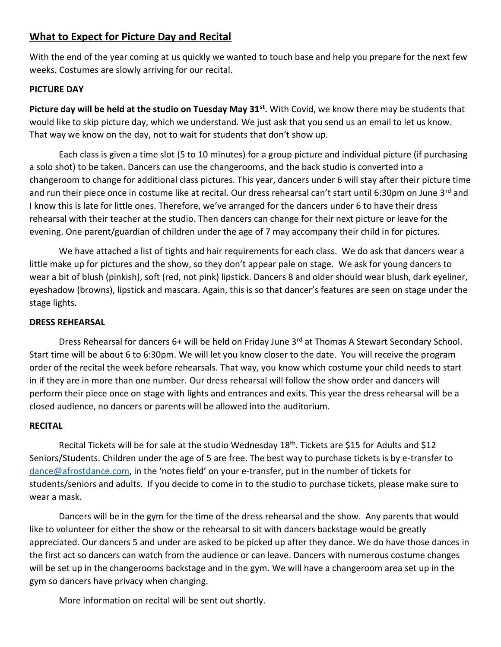### **What to Expect for Picture Day and Recital**

With the end of the year coming at us quickly we wanted to touch base and help you prepare for the next few weeks. Costumes are slowly arriving for our recital.

#### **PICTURE DAY**

**Picture day will be held at the studio on Tuesday May 31st .** With Covid, we know there may be students that would like to skip picture day, which we understand. We just ask that you send us an email to let us know. That way we know on the day, not to wait for students that don't show up.

Each class is given a time slot (5 to 10 minutes) for a group picture and individual picture (if purchasing a solo shot) to be taken. Dancers can use the changerooms, and the back studio is converted into a changeroom to change for additional class pictures. This year, dancers under 6 will stay after their picture time and run their piece once in costume like at recital. Our dress rehearsal can't start until 6:30pm on June 3<sup>rd</sup> and I know this is late for little ones. Therefore, we've arranged for the dancers under 6 to have their dress rehearsal with their teacher at the studio. Then dancers can change for their next picture or leave for the evening. One parent/guardian of children under the age of 7 may accompany their child in for pictures.

We have attached a list of tights and hair requirements for each class. We do ask that dancers wear a little make up for pictures and the show, so they don't appear pale on stage. We ask for young dancers to wear a bit of blush (pinkish), soft (red, not pink) lipstick. Dancers 8 and older should wear blush, dark eyeliner, eyeshadow (browns), lipstick and mascara. Again, this is so that dancer's features are seen on stage under the stage lights.

#### **DRESS REHEARSAL**

Dress Rehearsal for dancers 6+ will be held on Friday June 3<sup>rd</sup> at Thomas A Stewart Secondary School. Start time will be about 6 to 6:30pm. We will let you know closer to the date. You will receive the program order of the recital the week before rehearsals. That way, you know which costume your child needs to start in if they are in more than one number. Our dress rehearsal will follow the show order and dancers will perform their piece once on stage with lights and entrances and exits. This year the dress rehearsal will be a closed audience, no dancers or parents will be allowed into the auditorium.

#### **RECITAL**

Recital Tickets will be for sale at the studio Wednesday 18<sup>th</sup>. Tickets are \$15 for Adults and \$12 Seniors/Students. Children under the age of 5 are free. The best way to purchase tickets is by e-transfer to [dance@afrostdance.com](mailto:dance@afrostdance.com), in the 'notes field' on your e-transfer, put in the number of tickets for students/seniors and adults. If you decide to come in to the studio to purchase tickets, please make sure to wear a mask.

Dancers will be in the gym for the time of the dress rehearsal and the show. Any parents that would like to volunteer for either the show or the rehearsal to sit with dancers backstage would be greatly appreciated. Our dancers 5 and under are asked to be picked up after they dance. We do have those dances in the first act so dancers can watch from the audience or can leave. Dancers with numerous costume changes will be set up in the changerooms backstage and in the gym. We will have a changeroom area set up in the gym so dancers have privacy when changing.

More information on recital will be sent out shortly.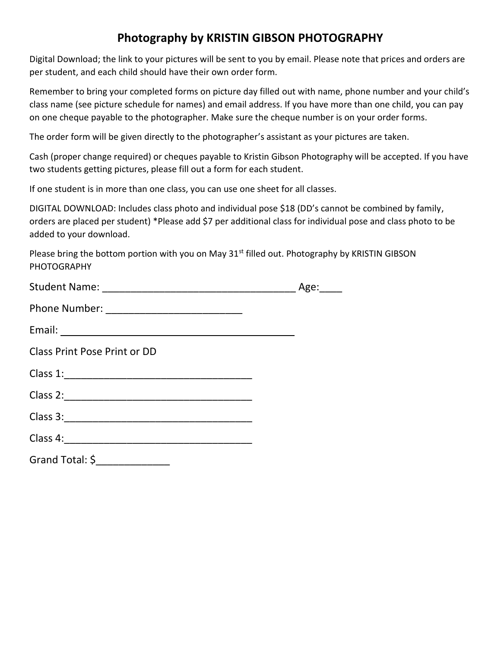## **Photography by KRISTIN GIBSON PHOTOGRAPHY**

Digital Download; the link to your pictures will be sent to you by email. Please note that prices and orders are per student, and each child should have their own order form.

Remember to bring your completed forms on picture day filled out with name, phone number and your child's class name (see picture schedule for names) and email address. If you have more than one child, you can pay on one cheque payable to the photographer. Make sure the cheque number is on your order forms.

The order form will be given directly to the photographer's assistant as your pictures are taken.

Cash (proper change required) or cheques payable to Kristin Gibson Photography will be accepted. If you have two students getting pictures, please fill out a form for each student.

If one student is in more than one class, you can use one sheet for all classes.

DIGITAL DOWNLOAD: Includes class photo and individual pose \$18 (DD's cannot be combined by family, orders are placed per student) \*Please add \$7 per additional class for individual pose and class photo to be added to your download.

Please bring the bottom portion with you on May 31<sup>st</sup> filled out. Photography by KRISTIN GIBSON PHOTOGRAPHY

|                                      | Age: |
|--------------------------------------|------|
|                                      |      |
|                                      |      |
| Class Print Pose Print or DD         |      |
|                                      |      |
|                                      |      |
|                                      |      |
|                                      |      |
| Grand Total: $\zeta$ _______________ |      |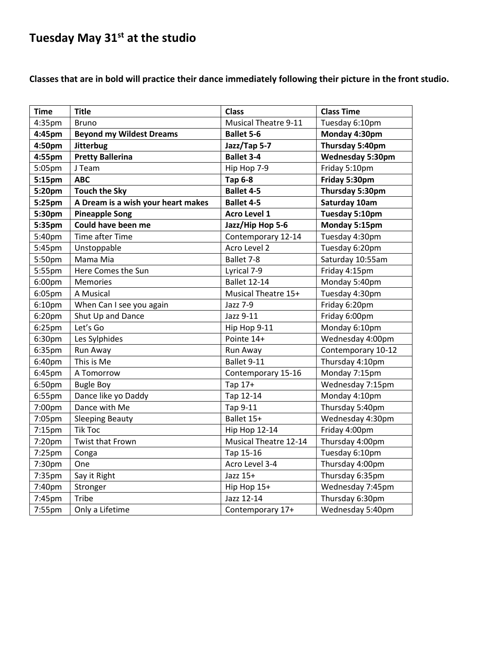# **Tuesday May 31st at the studio**

**Classes that are in bold will practice their dance immediately following their picture in the front studio.**

| <b>Time</b> | <b>Title</b>                       | <b>Class</b>                 | <b>Class Time</b>       |
|-------------|------------------------------------|------------------------------|-------------------------|
| 4:35pm      | <b>Bruno</b>                       | <b>Musical Theatre 9-11</b>  | Tuesday 6:10pm          |
| 4:45pm      | <b>Beyond my Wildest Dreams</b>    | <b>Ballet 5-6</b>            | Monday 4:30pm           |
| 4:50pm      | <b>Jitterbug</b>                   | Jazz/Tap 5-7                 | Thursday 5:40pm         |
| 4:55pm      | <b>Pretty Ballerina</b>            | <b>Ballet 3-4</b>            | <b>Wednesday 5:30pm</b> |
| 5:05pm      | J Team                             | Hip Hop 7-9                  | Friday 5:10pm           |
| 5:15pm      | <b>ABC</b>                         | <b>Tap 6-8</b>               | Friday 5:30pm           |
| 5:20pm      | <b>Touch the Sky</b>               | <b>Ballet 4-5</b>            | Thursday 5:30pm         |
| 5:25pm      | A Dream is a wish your heart makes | <b>Ballet 4-5</b>            | Saturday 10am           |
| 5:30pm      | <b>Pineapple Song</b>              | Acro Level 1                 | Tuesday 5:10pm          |
| 5:35pm      | Could have been me                 | Jazz/Hip Hop 5-6             | Monday 5:15pm           |
| 5:40pm      | Time after Time                    | Contemporary 12-14           | Tuesday 4:30pm          |
| 5:45pm      | Unstoppable                        | Acro Level 2                 | Tuesday 6:20pm          |
| 5:50pm      | Mama Mia                           | Ballet 7-8                   | Saturday 10:55am        |
| 5:55pm      | Here Comes the Sun                 | Lyrical 7-9                  | Friday 4:15pm           |
| 6:00pm      | Memories                           | <b>Ballet 12-14</b>          | Monday 5:40pm           |
| 6:05pm      | A Musical                          | Musical Theatre 15+          | Tuesday 4:30pm          |
| 6:10pm      | When Can I see you again           | Jazz 7-9                     | Friday 6:20pm           |
| 6:20pm      | Shut Up and Dance                  | Jazz 9-11                    | Friday 6:00pm           |
| 6:25pm      | Let's Go                           | Hip Hop 9-11                 | Monday 6:10pm           |
| 6:30pm      | Les Sylphides                      | Pointe 14+                   | Wednesday 4:00pm        |
| 6:35pm      | Run Away                           | Run Away                     | Contemporary 10-12      |
| 6:40pm      | This is Me                         | Ballet 9-11                  | Thursday 4:10pm         |
| 6:45pm      | A Tomorrow                         | Contemporary 15-16           | Monday 7:15pm           |
| 6:50pm      | <b>Bugle Boy</b>                   | Tap 17+                      | Wednesday 7:15pm        |
| 6:55pm      | Dance like yo Daddy                | Tap 12-14                    | Monday 4:10pm           |
| 7:00pm      | Dance with Me                      | Tap 9-11                     | Thursday 5:40pm         |
| 7:05pm      | <b>Sleeping Beauty</b>             | Ballet 15+                   | Wednesday 4:30pm        |
| 7:15pm      | <b>Tik Toc</b>                     | <b>Hip Hop 12-14</b>         | Friday 4:00pm           |
| 7:20pm      | Twist that Frown                   | <b>Musical Theatre 12-14</b> | Thursday 4:00pm         |
| 7:25pm      | Conga                              | Tap 15-16                    | Tuesday 6:10pm          |
| 7:30pm      | One                                | Acro Level 3-4               | Thursday 4:00pm         |
| 7:35pm      | Say it Right                       | Jazz 15+                     | Thursday 6:35pm         |
| 7:40pm      | Stronger                           | Hip Hop 15+                  | Wednesday 7:45pm        |
| 7:45pm      | Tribe                              | Jazz 12-14                   | Thursday 6:30pm         |
| 7:55pm      | Only a Lifetime                    | Contemporary 17+             | Wednesday 5:40pm        |